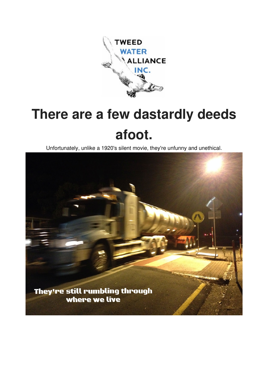

# **There are a few dastardly deeds afoot.**

Unfortunately, unlike a 1920's silent movie, they're unfunny and unethical.

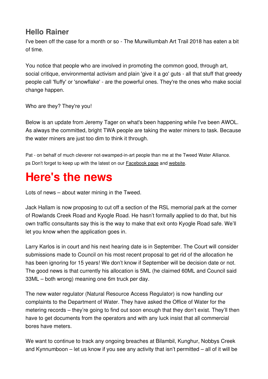### **Hello Rainer**

I've been off the case for a month or so - The Murwillumbah Art Trail 2018 has eaten a bit of time.

You notice that people who are involved in promoting the common good, through art, social critique, environmental activism and plain 'give it a go' guts - all that stuff that greedy people call 'fluffy' or 'snowflake' - are the powerful ones. They're the ones who make social change happen.

Who are they? They're you!

Below is an update from Jeremy Tager on what's been happening while I've been AWOL. As always the committed, bright TWA people are taking the water miners to task. Because the water miners are just too dim to think it through.

Pat - on behalf of much cleverer not-swamped-in-art people than me at the Tweed Water Alliance. ps Don't forget to keep up with the latest on our **[Facebook page](https://facebook.us16.list-manage.com/track/click?u=bdd0f11dd16be598f66ff77b3&id=8f796de6b3&e=824dbb2bfb) and website**.

## **Here's the news**

Lots of news – about water mining in the Tweed.

Jack Hallam is now proposing to cut off a section of the RSL memorial park at the corner of Rowlands Creek Road and Kyogle Road. He hasn't formally applied to do that, but his own traffic consultants say this is the way to make that exit onto Kyogle Road safe. We'll let you know when the application goes in.

Larry Karlos is in court and his next hearing date is in September. The Court will consider submissions made to Council on his most recent proposal to get rid of the allocation he has been ignoring for 15 years! We don't know if September will be decision date or not. The good news is that currently his allocation is 5ML (he claimed 60ML and Council said 33ML – both wrong) meaning one 6m truck per day.

The new water regulator (Natural Resource Access Regulator) is now handling our complaints to the Department of Water. They have asked the Office of Water for the metering records – they're going to find out soon enough that they don't exist. They'll then have to get documents from the operators and with any luck insist that all commercial bores have meters.

We want to continue to track any ongoing breaches at Bilambil, Kunghur, Nobbys Creek and Kynnumboon – let us know if you see any activity that isn't permitted – all of it will be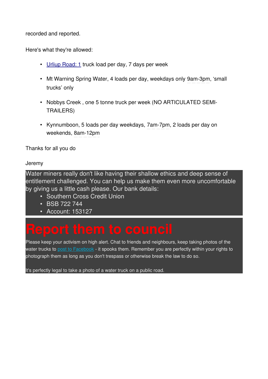recorded and reported.

Here's what they're allowed:

- [Urliup Road: 1](https://maps.google.com/?q=Urliup+Road:+1&entry=gmail&source=g) truck load per day, 7 days per week
- Mt Warning Spring Water, 4 loads per day, weekdays only 9am-3pm, 'small trucks' only
- Nobbys Creek , one 5 tonne truck per week (NO ARTICULATED SEMI-TRAILERS)
- Kynnumboon, 5 loads per day weekdays, 7am-7pm, 2 loads per day on weekends, 8am-12pm

Thanks for all you do

Jeremy

Water miners really don't like having their shallow ethics and deep sense of entitlement challenged. You can help us make them even more uncomfortable by giving us a little cash please. Our bank details:

- Southern Cross Credit Union
- BSB 722 744
- Account: 153127

Please keep your activism on high alert. Chat to friends and neighbours, keep taking photos of the water trucks to [post to Facebook](https://facebook.us16.list-manage.com/track/click?u=bdd0f11dd16be598f66ff77b3&id=6a2cc08506&e=824dbb2bfb) - it spooks them. Remember you are perfectly within your rights to photograph them as long as you don't trespass or otherwise break the law to do so.

It's perfectly legal to take a photo of a water truck on a public road.